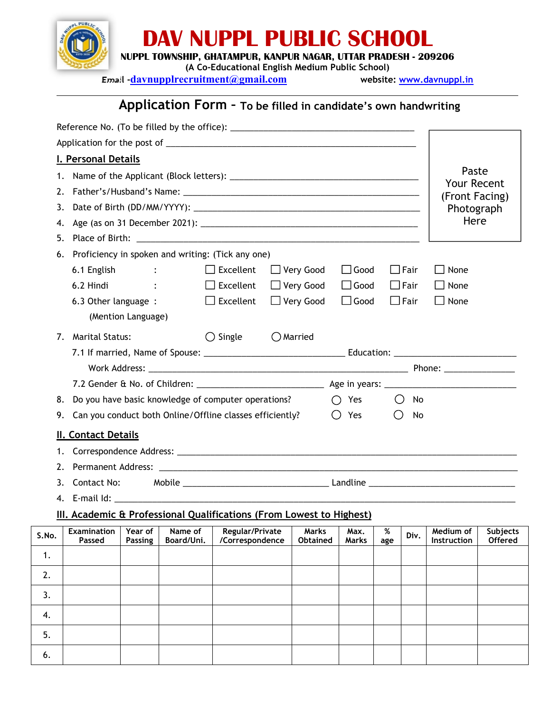

5.

6.

# **DAV NUPPL PUBLIC SCHOOL**

**NUPPL TOWNSHIP, GHATAMPUR, KANPUR NAGAR, UTTAR PRADESH - 209206**

**(A Co-Educational English Medium Public School)**

**Email -davnupplrecruitment@gmail.com website: [www.davnuppl.in](http://www.davnuppl.in)**

# **Application Form – To be filled in candidate's own handwriting**

| I. Personal Details                                                                                                                                                                                                                                                                                                |                                   |  |  |  |  |  |  |  |
|--------------------------------------------------------------------------------------------------------------------------------------------------------------------------------------------------------------------------------------------------------------------------------------------------------------------|-----------------------------------|--|--|--|--|--|--|--|
|                                                                                                                                                                                                                                                                                                                    |                                   |  |  |  |  |  |  |  |
|                                                                                                                                                                                                                                                                                                                    |                                   |  |  |  |  |  |  |  |
| Paste<br>1.                                                                                                                                                                                                                                                                                                        |                                   |  |  |  |  |  |  |  |
| <b>Your Recent</b><br>(Front Facing)                                                                                                                                                                                                                                                                               |                                   |  |  |  |  |  |  |  |
| Photograph                                                                                                                                                                                                                                                                                                         |                                   |  |  |  |  |  |  |  |
| Here<br>4.                                                                                                                                                                                                                                                                                                         |                                   |  |  |  |  |  |  |  |
|                                                                                                                                                                                                                                                                                                                    |                                   |  |  |  |  |  |  |  |
| Proficiency in spoken and writing: (Tick any one)<br>6.                                                                                                                                                                                                                                                            |                                   |  |  |  |  |  |  |  |
| 6.1 English : The South State State State State State State State State State State State State State State State State State State State State State State State State State State State State State State State State State<br>$\Box$ Excellent<br>$\Box$ Very Good<br>$\Box$ Good<br>$\Box$ Fair<br>$\Box$ None |                                   |  |  |  |  |  |  |  |
| $\Box$ Excellent<br>□ Very Good<br>6.2 Hindi<br><b>Contract Contract Contract</b><br>$\Box$ Good<br>$\Box$ Fair<br>$\Box$ None                                                                                                                                                                                     |                                   |  |  |  |  |  |  |  |
| $\Box$ Excellent<br>$\Box$ Very Good<br>$\Box$ Good<br>$\Box$ Fair<br>$\Box$ None<br>6.3 Other language :<br>(Mention Language)                                                                                                                                                                                    |                                   |  |  |  |  |  |  |  |
| $\bigcirc$ Single<br>$\bigcirc$ Married<br><b>Marital Status:</b><br>7.                                                                                                                                                                                                                                            |                                   |  |  |  |  |  |  |  |
|                                                                                                                                                                                                                                                                                                                    |                                   |  |  |  |  |  |  |  |
|                                                                                                                                                                                                                                                                                                                    |                                   |  |  |  |  |  |  |  |
|                                                                                                                                                                                                                                                                                                                    |                                   |  |  |  |  |  |  |  |
| $\bigcap$ Yes<br>Do you have basic knowledge of computer operations?<br>$\bigcirc$ No<br>8.                                                                                                                                                                                                                        |                                   |  |  |  |  |  |  |  |
| Yes<br>O<br>Can you conduct both Online/Offline classes efficiently?<br>$\bigcirc$<br>No<br>9.                                                                                                                                                                                                                     |                                   |  |  |  |  |  |  |  |
| <b>II. Contact Details</b>                                                                                                                                                                                                                                                                                         |                                   |  |  |  |  |  |  |  |
| 1.                                                                                                                                                                                                                                                                                                                 |                                   |  |  |  |  |  |  |  |
| 2.                                                                                                                                                                                                                                                                                                                 |                                   |  |  |  |  |  |  |  |
| Contact No:<br>3.                                                                                                                                                                                                                                                                                                  |                                   |  |  |  |  |  |  |  |
|                                                                                                                                                                                                                                                                                                                    |                                   |  |  |  |  |  |  |  |
|                                                                                                                                                                                                                                                                                                                    |                                   |  |  |  |  |  |  |  |
|                                                                                                                                                                                                                                                                                                                    |                                   |  |  |  |  |  |  |  |
| III. Academic & Professional Qualifications (From Lowest to Highest)                                                                                                                                                                                                                                               |                                   |  |  |  |  |  |  |  |
| <b>Examination</b><br>Year of<br>Name of<br><b>Regular/Private</b><br>Marks<br>Max.<br>%<br>Medium of<br>Div.<br>Passed<br>Board/Uni.<br>Instruction<br>Passing<br>/Correspondence<br><b>Obtained</b><br>Marks<br>age                                                                                              |                                   |  |  |  |  |  |  |  |
|                                                                                                                                                                                                                                                                                                                    |                                   |  |  |  |  |  |  |  |
|                                                                                                                                                                                                                                                                                                                    |                                   |  |  |  |  |  |  |  |
|                                                                                                                                                                                                                                                                                                                    | <b>Subjects</b><br><b>Offered</b> |  |  |  |  |  |  |  |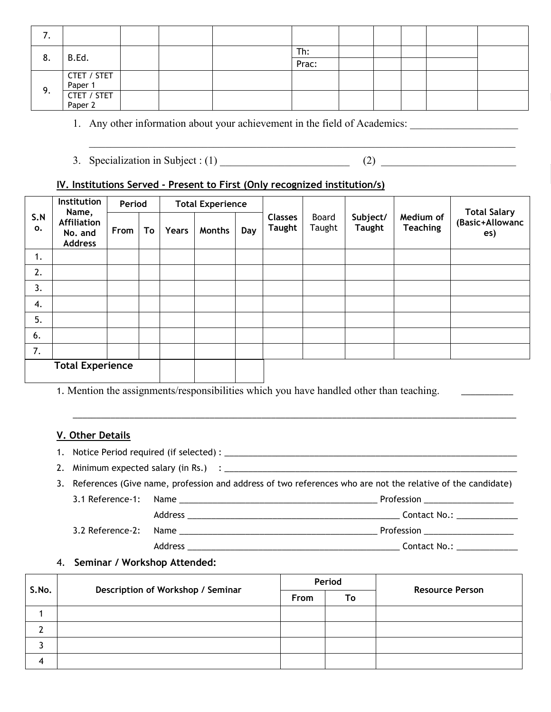|    |                        |  | Th:   |  |  |  |
|----|------------------------|--|-------|--|--|--|
| 8. | B.Ed.                  |  | Prac: |  |  |  |
|    | CTET / STET<br>Paper 1 |  |       |  |  |  |
| 9. |                        |  |       |  |  |  |
|    | CTET / STET<br>Paper 2 |  |       |  |  |  |
|    |                        |  |       |  |  |  |

 $\_$  ,  $\_$  ,  $\_$  ,  $\_$  ,  $\_$  ,  $\_$  ,  $\_$  ,  $\_$  ,  $\_$  ,  $\_$  ,  $\_$  ,  $\_$  ,  $\_$  ,  $\_$  ,  $\_$  ,  $\_$  ,  $\_$  ,  $\_$  ,  $\_$  ,  $\_$  ,  $\_$  ,  $\_$  ,  $\_$  ,  $\_$  ,  $\_$  ,  $\_$  ,  $\_$  ,  $\_$  ,  $\_$  ,  $\_$  ,  $\_$  ,  $\_$  ,  $\_$  ,  $\_$  ,  $\_$  ,  $\_$  ,  $\_$  ,

1. Any other information about your achievement in the field of Academics:

3. Specialization in Subject:  $(1)$   $(2)$ 

## **IV. Institutions Served - Present to First (Only recognized institution/s)**

| Institution<br>Name, |                                                 |      | <b>Total Experience</b><br>Period |       |               |     |                                 |                 |                           |                              |                                               |
|----------------------|-------------------------------------------------|------|-----------------------------------|-------|---------------|-----|---------------------------------|-----------------|---------------------------|------------------------------|-----------------------------------------------|
| S.N<br>0.            | <b>Affiliation</b><br>No. and<br><b>Address</b> | From | To                                | Years | <b>Months</b> | Day | <b>Classes</b><br><b>Taught</b> | Board<br>Taught | Subject/<br><b>Taught</b> | Medium of<br><b>Teaching</b> | <b>Total Salary</b><br>(Basic+Allowanc<br>es) |
| 1.                   |                                                 |      |                                   |       |               |     |                                 |                 |                           |                              |                                               |
| 2.                   |                                                 |      |                                   |       |               |     |                                 |                 |                           |                              |                                               |
| 3.                   |                                                 |      |                                   |       |               |     |                                 |                 |                           |                              |                                               |
| 4.                   |                                                 |      |                                   |       |               |     |                                 |                 |                           |                              |                                               |
| 5.                   |                                                 |      |                                   |       |               |     |                                 |                 |                           |                              |                                               |
| 6.                   |                                                 |      |                                   |       |               |     |                                 |                 |                           |                              |                                               |
| 7.                   |                                                 |      |                                   |       |               |     |                                 |                 |                           |                              |                                               |
|                      | <b>Total Experience</b>                         |      |                                   |       |               |     |                                 |                 |                           |                              |                                               |

1. Mention the assignments/responsibilities which you have handled other than teaching.

### **V. Other Details**

1. Notice Period required (if selected) : \_\_\_\_\_\_\_\_\_\_\_\_\_\_\_\_\_\_\_\_\_\_\_\_\_\_\_\_\_\_\_\_\_\_\_\_\_\_\_\_\_\_\_\_\_\_\_\_\_\_\_\_\_\_\_\_\_\_\_\_\_\_

2. Minimum expected salary (in Rs.) : \_\_\_\_\_\_\_\_\_\_\_\_\_\_\_\_\_\_\_\_\_\_\_\_\_\_\_\_\_\_\_\_\_\_\_\_\_\_\_\_\_\_\_\_\_\_\_\_\_\_\_\_\_\_\_\_\_\_\_\_\_\_

3. References (Give name, profession and address of two references who are not the relative of the candidate)

3.1 Reference-1: Name \_\_\_\_\_\_\_\_\_\_\_\_\_\_\_\_\_\_\_\_\_\_\_\_\_\_\_\_\_\_\_\_\_\_\_\_\_\_\_\_\_\_ Profession \_\_\_\_\_\_\_\_\_\_\_\_\_\_\_\_\_\_\_ Address \_\_\_\_\_\_\_\_\_\_\_\_\_\_\_\_\_\_\_\_\_\_\_\_\_\_\_\_\_\_\_\_\_\_\_\_\_\_\_\_\_\_\_\_\_ Contact No.: \_\_\_\_\_\_\_\_\_\_\_\_\_ 3.2 Reference-2: Name \_\_\_\_\_\_\_\_\_\_\_\_\_\_\_\_\_\_\_\_\_\_\_\_\_\_\_\_\_\_\_\_\_\_\_\_\_\_\_\_\_\_ Profession \_\_\_\_\_\_\_\_\_\_\_\_\_\_\_\_\_\_\_

\_\_\_\_\_\_\_\_\_\_\_\_\_\_\_\_\_\_\_\_\_\_\_\_\_\_\_\_\_\_\_\_\_\_\_\_\_\_\_\_\_\_\_\_\_\_\_\_\_\_\_\_\_\_\_\_\_\_\_\_\_\_\_\_\_\_\_\_\_\_\_\_\_\_\_\_\_\_\_\_\_\_\_\_\_\_\_\_\_\_\_\_\_\_

Address \_\_\_\_\_\_\_\_\_\_\_\_\_\_\_\_\_\_\_\_\_\_\_\_\_\_\_\_\_\_\_\_\_\_\_\_\_\_\_\_\_\_\_\_\_ Contact No.: \_\_\_\_\_\_\_\_\_\_\_\_\_

### 4. **Seminar /Workshop Attended:**

|       |                                   |      | Period | <b>Resource Person</b> |  |
|-------|-----------------------------------|------|--------|------------------------|--|
| S.No. | Description of Workshop / Seminar | From | To     |                        |  |
|       |                                   |      |        |                        |  |
|       |                                   |      |        |                        |  |
|       |                                   |      |        |                        |  |
|       |                                   |      |        |                        |  |